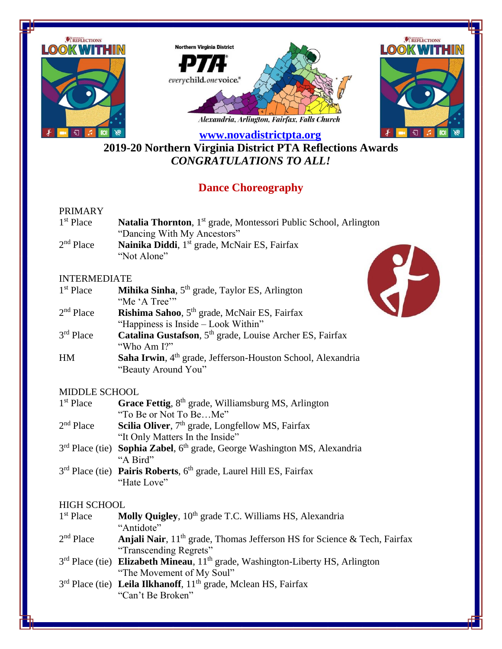

**2019-20 Northern Virginia District PTA Reflections Awards** *CONGRATULATIONS TO ALL!*

# **Dance Choreography**

# PRIMARY

| $1st$ Place | <b>Natalia Thornton</b> , 1 <sup>st</sup> grade, Montessori Public School, Arlington |
|-------------|--------------------------------------------------------------------------------------|
|             | "Dancing With My Ancestors"                                                          |
| $2nd$ Place | Nainika Diddi, 1 <sup>st</sup> grade, McNair ES, Fairfax                             |
|             | "Not Alone"                                                                          |

### INTERMEDIATE

| 1 <sup>st</sup> Place | <b>Mihika Sinha</b> , $5th$ grade, Taylor ES, Arlington                 |
|-----------------------|-------------------------------------------------------------------------|
|                       | "Me 'A Tree"                                                            |
| $2nd$ Place           | Rishima Sahoo, 5 <sup>th</sup> grade, McNair ES, Fairfax                |
|                       | "Happiness is Inside – Look Within"                                     |
| $3rd$ Place           | Catalina Gustafson, 5 <sup>th</sup> grade, Louise Archer ES, Fairfax    |
|                       | "Who Am I?"                                                             |
| HM                    | Saha Irwin, 4 <sup>th</sup> grade, Jefferson-Houston School, Alexandria |
|                       | "Beauty Around You"                                                     |

# MIDDLE SCHOOL

| $1st$ Place | Grace Fettig, 8 <sup>th</sup> grade, Williamsburg MS, Arlington                                   |
|-------------|---------------------------------------------------------------------------------------------------|
|             | "To Be or Not To BeMe"                                                                            |
| $2nd$ Place | Scilia Oliver, 7 <sup>th</sup> grade, Longfellow MS, Fairfax                                      |
|             | "It Only Matters In the Inside"                                                                   |
|             | 3 <sup>rd</sup> Place (tie) Sophia Zabel, 6 <sup>th</sup> grade, George Washington MS, Alexandria |
|             | "A Bird"                                                                                          |

3<sup>rd</sup> Place (tie) **Pairis Roberts**, 6<sup>th</sup> grade, Laurel Hill ES, Fairfax "Hate Love"

# HIGH SCHOOL

| $1st$ Place | Molly Quigley, 10 <sup>th</sup> grade T.C. Williams HS, Alexandria                 |
|-------------|------------------------------------------------------------------------------------|
|             | "Antidote"                                                                         |
| $2nd$ Place | <b>Anjali Nair</b> , $11th$ grade, Thomas Jefferson HS for Science & Tech, Fairfax |
|             | "Transcending Regrets"                                                             |
|             | $3rd$ Place (tie) Elizabeth Mineau, $11th$ grade, Washington-Liberty HS, Arlington |
|             | "The Movement of My Soul"                                                          |
|             | $3rd$ Place (tie) Leila Ilkhanoff, $11th$ grade, Mclean HS, Fairfax                |
|             | "Can't Be Broken"                                                                  |

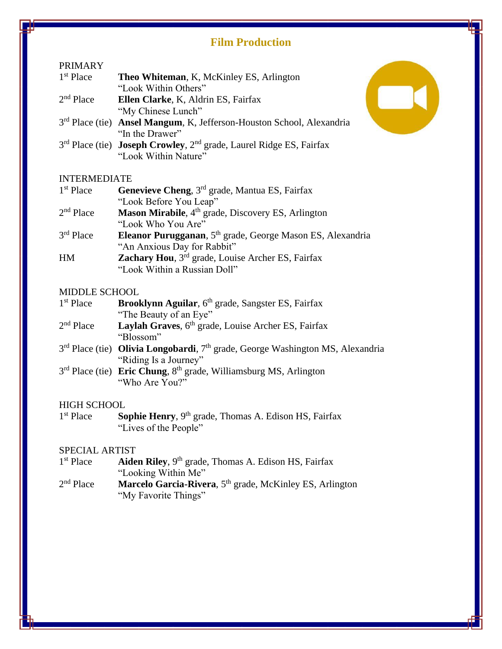# **Film Production**

### PRIMARY

| $1st$ Place | <b>Theo Whiteman, K, McKinley ES, Arlington</b> |
|-------------|-------------------------------------------------|
|             | "Look Within Others"                            |
| $2nd$ Place | Ellen Clarke, K. Aldrin ES, Fairfax             |

"My Chinese Lunch"

- 3<sup>rd</sup> Place (tie) **Ansel Mangum**, K, Jefferson-Houston School, Alexandria "In the Drawer"
- 3 rd Place (tie) **Joseph Crowley**, 2nd grade, Laurel Ridge ES, Fairfax "Look Within Nature"

# INTERMEDIATE

| $1st$ Place | Genevieve Cheng, 3 <sup>rd</sup> grade, Mantua ES, Fairfax             |
|-------------|------------------------------------------------------------------------|
|             | "Look Before You Leap"                                                 |
| $2nd$ Place | Mason Mirabile, 4 <sup>th</sup> grade, Discovery ES, Arlington         |
|             | "Look Who You Are"                                                     |
| $3rd$ Place | Eleanor Purugganan, 5 <sup>th</sup> grade, George Mason ES, Alexandria |
|             | "An Anxious Day for Rabbit"                                            |
| HM          | Zachary Hou, 3 <sup>rd</sup> grade, Louise Archer ES, Fairfax          |
|             | "Look Within a Russian Doll"                                           |

### MIDDLE SCHOOL

| 1 <sup>st</sup> Place | <b>Brooklynn Aguilar</b> , 6 <sup>th</sup> grade, Sangster ES, Fairfax |
|-----------------------|------------------------------------------------------------------------|
|                       | "The Beauty of an Eye"                                                 |

- $2<sup>nd</sup>$  Place Laylah Graves, 6<sup>th</sup> grade, Louise Archer ES, Fairfax "Blossom"
- 3<sup>rd</sup> Place (tie) **Olivia Longobardi**, 7<sup>th</sup> grade, George Washington MS, Alexandria "Riding Is a Journey"
- 3<sup>rd</sup> Place (tie) **Eric Chung**, 8<sup>th</sup> grade, Williamsburg MS, Arlington "Who Are You?"

### HIGH SCHOOL

 $1<sup>st</sup>$  Place Sophie Henry, 9<sup>th</sup> grade, Thomas A. Edison HS, Fairfax "Lives of the People"

### SPECIAL ARTIST

| 1 <sup>st</sup> Place | Aiden Riley, 9 <sup>th</sup> grade, Thomas A. Edison HS, Fairfax |
|-----------------------|------------------------------------------------------------------|
|                       | $\blacksquare$                                                   |

- "Looking Within Me"
- $2<sup>nd</sup>$  Place Marcelo Garcia-Rivera, 5<sup>th</sup> grade, McKinley ES, Arlington "My Favorite Things"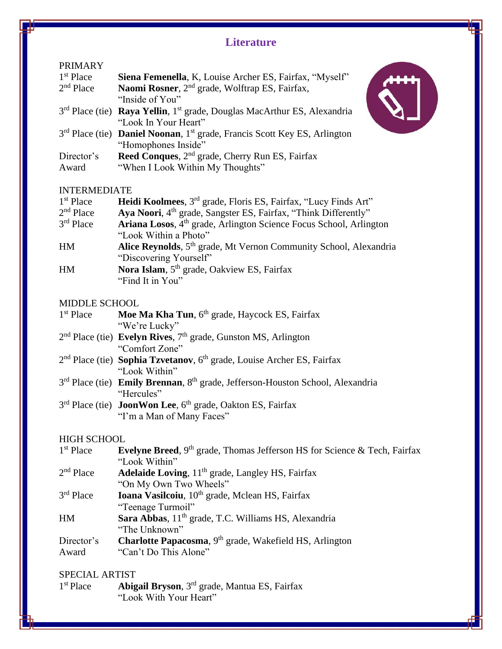# **Literature**

### PRIMARY

| 1 <sup>st</sup> Place | Siena Femenella, K, Louise Archer ES, Fairfax, "Myself"                                         |
|-----------------------|-------------------------------------------------------------------------------------------------|
| $2nd$ Place           | Naomi Rosner, 2 <sup>nd</sup> grade, Wolftrap ES, Fairfax,                                      |
|                       | "Inside of You"                                                                                 |
|                       | $3rd$ Place (tie) Raya Yellin, 1 <sup>st</sup> grade, Douglas MacArthur ES, Alexandria          |
|                       | "Look In Your Heart"                                                                            |
|                       | $3rd$ Place (tie) <b>Daniel Noonan</b> , 1 <sup>st</sup> grade, Francis Scott Key ES, Arlington |
|                       | "Homophones Inside"                                                                             |
| Director's            | Reed Conques, 2 <sup>nd</sup> grade, Cherry Run ES, Fairfax                                     |
| Award                 | "When I Look Within My Thoughts"                                                                |

### INTERMEDIATE

| Heidi Koolmees, 3 <sup>rd</sup> grade, Floris ES, Fairfax, "Lucy Finds Art"    |
|--------------------------------------------------------------------------------|
| Aya Noori, 4 <sup>th</sup> grade, Sangster ES, Fairfax, "Think Differently"    |
| Ariana Losos, 4 <sup>th</sup> grade, Arlington Science Focus School, Arlington |
| "Look Within a Photo"                                                          |
| Alice Reynolds, 5 <sup>th</sup> grade, Mt Vernon Community School, Alexandria  |
| "Discovering Yourself"                                                         |
| Nora Islam, 5 <sup>th</sup> grade, Oakview ES, Fairfax                         |
| "Find It in You"                                                               |
|                                                                                |

### MIDDLE SCHOOL

| 1 <sup>st</sup> Place | Moe Ma Kha Tun, 6 <sup>th</sup> grade, Haycock ES, Fairfax |
|-----------------------|------------------------------------------------------------|
|                       | "We're Lucky"                                              |
|                       |                                                            |

- 2<sup>nd</sup> Place (tie) **Evelyn Rives**, 7<sup>th</sup> grade, Gunston MS, Arlington "Comfort Zone"
- 2<sup>nd</sup> Place (tie) **Sophia Tzvetanov**, 6<sup>th</sup> grade, Louise Archer ES, Fairfax "Look Within"
- 3<sup>rd</sup> Place (tie) **Emily Brennan**, 8<sup>th</sup> grade, Jefferson-Houston School, Alexandria "Hercules"
- 3<sup>rd</sup> Place (tie) **JoonWon Lee**, 6<sup>th</sup> grade, Oakton ES, Fairfax "I'm a Man of Many Faces"

## HIGH SCHOOL

| 1 <sup>st</sup> Place | Evelyne Breed, 9 <sup>th</sup> grade, Thomas Jefferson HS for Science & Tech, Fairfax |
|-----------------------|---------------------------------------------------------------------------------------|
|                       | "Look Within"                                                                         |
| $2nd$ Place           | <b>Adelaide Loving</b> , $11th$ grade, Langley HS, Fairfax                            |
|                       | "On My Own Two Wheels"                                                                |
| $3rd$ Place           | Ioana Vasilcoiu, 10 <sup>th</sup> grade, Mclean HS, Fairfax                           |
|                       | "Teenage Turmoil"                                                                     |
| HM                    | Sara Abbas, 11 <sup>th</sup> grade, T.C. Williams HS, Alexandria                      |
|                       | "The Unknown"                                                                         |
| Director's            | Charlotte Papacosma, 9 <sup>th</sup> grade, Wakefield HS, Arlington                   |
| Award                 | "Can't Do This Alone"                                                                 |

# SPECIAL ARTIST

1<sup>st</sup> Place Abigail Bryson, 3<sup>rd</sup> grade, Mantua ES, Fairfax "Look With Your Heart"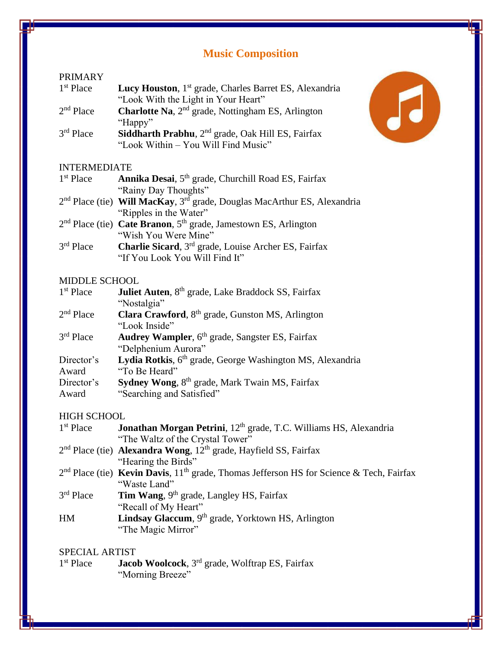# **Music Composition**

# PRIMARY 1<sup>st</sup> Place

- Lucy Houston, 1<sup>st</sup> grade, Charles Barret ES, Alexandria "Look With the Light in Your Heart"
- $2<sup>nd</sup>$  Place Charlotte Na, 2<sup>nd</sup> grade, Nottingham ES, Arlington "Happy"
- 3rd Place Siddharth Prabhu, 2<sup>nd</sup> grade, Oak Hill ES, Fairfax "Look Within – You Will Find Music"

# INTERMEDIATE

| 1 <sup>st</sup> Place | Annika Desai, 5 <sup>th</sup> grade, Churchill Road ES, Fairfax |  |
|-----------------------|-----------------------------------------------------------------|--|
|                       | "Rainy Day Thoughts"<br>_______ _ _ _ _                         |  |

- 2 nd Place (tie) **Will MacKay**, 3rd grade, Douglas MacArthur ES, Alexandria "Ripples in the Water"
- 2<sup>nd</sup> Place (tie) **Cate Branon**, 5<sup>th</sup> grade, Jamestown ES, Arlington "Wish You Were Mine"
- $3<sup>rd</sup>$  Place Charlie Sicard, 3<sup>rd</sup> grade, Louise Archer ES, Fairfax "If You Look You Will Find It"

### MIDDLE SCHOOL

| 1 <sup>st</sup> Place | Juliet Auten, 8 <sup>th</sup> grade, Lake Braddock SS, Fairfax        |
|-----------------------|-----------------------------------------------------------------------|
|                       | "Nostalgia"                                                           |
| $2nd$ Place           | Clara Crawford, 8 <sup>th</sup> grade, Gunston MS, Arlington          |
|                       | "Look Inside"                                                         |
| $3rd$ Place           | Audrey Wampler, 6 <sup>th</sup> grade, Sangster ES, Fairfax           |
|                       | "Delphenium Aurora"                                                   |
| Director's            | Lydia Rotkis, 6 <sup>th</sup> grade, George Washington MS, Alexandria |
| Award                 | "To Be Heard"                                                         |
| Director's            | Sydney Wong, 8 <sup>th</sup> grade, Mark Twain MS, Fairfax            |
| Award                 | "Searching and Satisfied"                                             |

# HIGH SCHOOL

| $1st$ Place | Jonathan Morgan Petrini, 12 <sup>th</sup> grade, T.C. Williams HS, Alexandria                |
|-------------|----------------------------------------------------------------------------------------------|
|             | "The Waltz of the Crystal Tower"                                                             |
|             | $2nd$ Place (tie) <b>Alexandra Wong</b> , $12th$ grade, Hayfield SS, Fairfax                 |
|             | "Hearing the Birds"                                                                          |
|             | $2nd$ Place (tie) Kevin Davis, $11th$ grade, Thomas Jefferson HS for Science & Tech, Fairfax |
|             | "Waste Land"                                                                                 |
| $3rd$ Place | Tim Wang, 9 <sup>th</sup> grade, Langley HS, Fairfax                                         |
|             | "Recall of My Heart"                                                                         |
| <b>HM</b>   | Lindsay Glaccum, 9th grade, Yorktown HS, Arlington                                           |

"The Magic Mirror"

# SPECIAL ARTIST

1<sup>st</sup> Place Jacob Woolcock, 3<sup>rd</sup> grade, Wolftrap ES, Fairfax "Morning Breeze"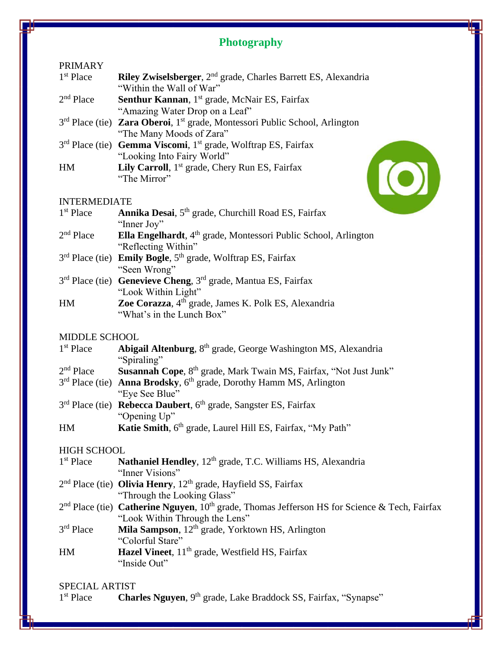# **Photography**

#### PRIMARY

| $1st$ Place | <b>Riley Zwiselsberger</b> , 2 <sup>nd</sup> grade, Charles Barrett ES, Alexandria |
|-------------|------------------------------------------------------------------------------------|
|             | "Within the Wall of War"                                                           |
| $2nd$ Place | <b>Senthur Kannan</b> , 1 <sup>st</sup> grade, McNair ES, Fairfax                  |
|             | "Amazing Water Drop on a Leaf"                                                     |

- 3<sup>rd</sup> Place (tie) **Zara Oberoi**, 1<sup>st</sup> grade, Montessori Public School, Arlington "The Many Moods of Zara"
- 3<sup>rd</sup> Place (tie) **Gemma Viscomi**, 1<sup>st</sup> grade, Wolftrap ES, Fairfax "Looking Into Fairy World" HM **Lily Carroll**, 1<sup>st</sup> grade, Chery Run ES, Fairfax "The Mirror"

#### INTERMEDIATE

|                          | "Looking Into Fairy World"                                                                                                                                                  |  |
|--------------------------|-----------------------------------------------------------------------------------------------------------------------------------------------------------------------------|--|
| HM                       | <b>Lily Carroll</b> , $1st$ grade, Chery Run ES, Fairfax                                                                                                                    |  |
|                          | "The Mirror"                                                                                                                                                                |  |
|                          |                                                                                                                                                                             |  |
| <b>INTERMEDIATE</b>      |                                                                                                                                                                             |  |
| $1st$ Place              | Annika Desai, 5 <sup>th</sup> grade, Churchill Road ES, Fairfax                                                                                                             |  |
|                          | "Inner Joy"                                                                                                                                                                 |  |
| $2nd$ Place              | <b>Ella Engelhardt</b> , $4th$ grade, Montessori Public School, Arlington                                                                                                   |  |
|                          | "Reflecting Within"                                                                                                                                                         |  |
|                          | 3 <sup>rd</sup> Place (tie) <b>Emily Bogle</b> , 5 <sup>th</sup> grade, Wolftrap ES, Fairfax                                                                                |  |
|                          | "Seen Wrong"                                                                                                                                                                |  |
| $\alpha$ rd $\mathbf{D}$ | $\mathbf{r}$ d<br>$\mathbb{R}^n$ $\mathbb{R}^n$ $\mathbb{R}^n$ $\mathbb{R}^n$<br>$\mathbf{1}$ $\mathbf{M}$ $\mathbf{M}$ $\mathbf{R}$ $\mathbf{M}$ $\mathbf{R}$ $\mathbf{M}$ |  |

- 3 rd Place (tie) **Genevieve Cheng**, 3rd grade, Mantua ES, Fairfax "Look Within Light" HM **Zoe Corazza**, 4th grade, James K. Polk ES, Alexandria
- "What's in the Lunch Box"

### MIDDLE SCHOOL

| $1st$ Place        | Abigail Altenburg, 8 <sup>th</sup> grade, George Washington MS, Alexandria                          |
|--------------------|-----------------------------------------------------------------------------------------------------|
|                    | "Spiraling"                                                                                         |
| $2nd$ Place        | Susannah Cope, 8 <sup>th</sup> grade, Mark Twain MS, Fairfax, "Not Just Junk"                       |
|                    | 3 <sup>rd</sup> Place (tie) <b>Anna Brodsky</b> , 6 <sup>th</sup> grade, Dorothy Hamm MS, Arlington |
|                    | "Eye See Blue"                                                                                      |
|                    | 3 <sup>rd</sup> Place (tie) Rebecca Daubert, 6 <sup>th</sup> grade, Sangster ES, Fairfax            |
|                    | "Opening Up"                                                                                        |
| HM                 | Katie Smith, 6 <sup>th</sup> grade, Laurel Hill ES, Fairfax, "My Path"                              |
| <b>HIGH SCHOOL</b> |                                                                                                     |

- 1<sup>st</sup> Place Nathaniel Hendley, 12<sup>th</sup> grade, T.C. Williams HS, Alexandria "Inner Visions"
- 2<sup>nd</sup> Place (tie) **Olivia Henry**, 12<sup>th</sup> grade, Hayfield SS, Fairfax "Through the Looking Glass"
- 2<sup>nd</sup> Place (tie) **Catherine Nguyen**, 10<sup>th</sup> grade, Thomas Jefferson HS for Science & Tech, Fairfax "Look Within Through the Lens"
- 3rd Place Mila Sampson, 12<sup>th</sup> grade, Yorktown HS, Arlington "Colorful Stare"
- HM **Hazel Vineet**, 11<sup>th</sup> grade, Westfield HS, Fairfax "Inside Out"

# SPECIAL ARTIST

1<sup>st</sup> Place Charles Nguyen, 9<sup>th</sup> grade, Lake Braddock SS, Fairfax, "Synapse"